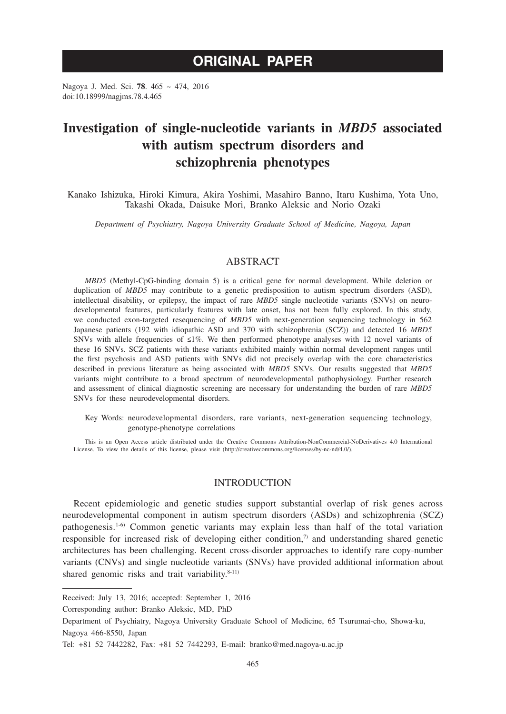# **ORIGINAL PAPER**

Nagoya J. Med. Sci. **78**. 465 ~ 474, 2016 doi:10.18999/nagjms.78.4.465

# **Investigation of single-nucleotide variants in** *MBD5* **associated with autism spectrum disorders and schizophrenia phenotypes**

Kanako Ishizuka, Hiroki Kimura, Akira Yoshimi, Masahiro Banno, Itaru Kushima, Yota Uno, Takashi Okada, Daisuke Mori, Branko Aleksic and Norio Ozaki

*Department of Psychiatry, Nagoya University Graduate School of Medicine, Nagoya, Japan*

# ABSTRACT

*MBD5* (Methyl-CpG-binding domain 5) is a critical gene for normal development. While deletion or duplication of *MBD5* may contribute to a genetic predisposition to autism spectrum disorders (ASD), intellectual disability, or epilepsy, the impact of rare *MBD5* single nucleotide variants (SNVs) on neurodevelopmental features, particularly features with late onset, has not been fully explored. In this study, we conducted exon-targeted resequencing of *MBD5* with next-generation sequencing technology in 562 Japanese patients (192 with idiopathic ASD and 370 with schizophrenia (SCZ)) and detected 16 *MBD5* SNVs with allele frequencies of ≤1%. We then performed phenotype analyses with 12 novel variants of these 16 SNVs. SCZ patients with these variants exhibited mainly within normal development ranges until the first psychosis and ASD patients with SNVs did not precisely overlap with the core characteristics described in previous literature as being associated with *MBD5* SNVs. Our results suggested that *MBD5* variants might contribute to a broad spectrum of neurodevelopmental pathophysiology. Further research and assessment of clinical diagnostic screening are necessary for understanding the burden of rare *MBD5* SNVs for these neurodevelopmental disorders.

Key Words: neurodevelopmental disorders, rare variants, next-generation sequencing technology, genotype-phenotype correlations

This is an Open Access article distributed under the Creative Commons Attribution-NonCommercial-NoDerivatives 4.0 International License. To view the details of this license, please visit (http://creativecommons.org/licenses/by-nc-nd/4.0/).

## INTRODUCTION

Recent epidemiologic and genetic studies support substantial overlap of risk genes across neurodevelopmental component in autism spectrum disorders (ASDs) and schizophrenia (SCZ) pathogenesis.1-6) Common genetic variants may explain less than half of the total variation responsible for increased risk of developing either condition, $\eta$  and understanding shared genetic architectures has been challenging. Recent cross-disorder approaches to identify rare copy-number variants (CNVs) and single nucleotide variants (SNVs) have provided additional information about shared genomic risks and trait variability.<sup>8-11)</sup>

Corresponding author: Branko Aleksic, MD, PhD

Received: July 13, 2016; accepted: September 1, 2016

Department of Psychiatry, Nagoya University Graduate School of Medicine, 65 Tsurumai-cho, Showa-ku, Nagoya 466-8550, Japan

Tel: +81 52 7442282, Fax: +81 52 7442293, E-mail: branko@med.nagoya-u.ac.jp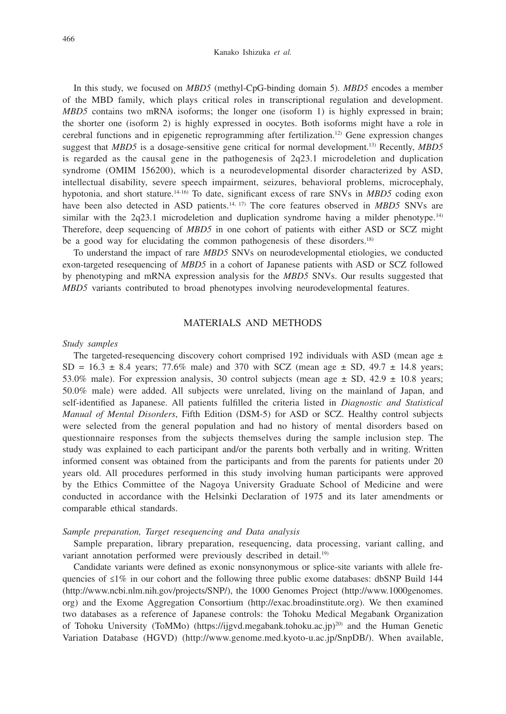#### Kanako Ishizuka *et al.*

In this study, we focused on *MBD5* (methyl-CpG-binding domain 5). *MBD5* encodes a member of the MBD family, which plays critical roles in transcriptional regulation and development. *MBD5* contains two mRNA isoforms; the longer one (isoform 1) is highly expressed in brain; the shorter one (isoform 2) is highly expressed in oocytes. Both isoforms might have a role in cerebral functions and in epigenetic reprogramming after fertilization.<sup>12)</sup> Gene expression changes suggest that *MBD5* is a dosage-sensitive gene critical for normal development.13) Recently, *MBD5* is regarded as the causal gene in the pathogenesis of  $2q23.1$  microdeletion and duplication syndrome (OMIM 156200), which is a neurodevelopmental disorder characterized by ASD, intellectual disability, severe speech impairment, seizures, behavioral problems, microcephaly, hypotonia, and short stature.14-16) To date, significant excess of rare SNVs in *MBD5* coding exon have been also detected in ASD patients.<sup>14, 17)</sup> The core features observed in *MBD5* SNVs are similar with the 2q23.1 microdeletion and duplication syndrome having a milder phenotype.<sup>14)</sup> Therefore, deep sequencing of *MBD5* in one cohort of patients with either ASD or SCZ might be a good way for elucidating the common pathogenesis of these disorders.<sup>18)</sup>

To understand the impact of rare *MBD5* SNVs on neurodevelopmental etiologies, we conducted exon-targeted resequencing of *MBD5* in a cohort of Japanese patients with ASD or SCZ followed by phenotyping and mRNA expression analysis for the *MBD5* SNVs. Our results suggested that *MBD5* variants contributed to broad phenotypes involving neurodevelopmental features.

## MATERIALS AND METHODS

#### *Study samples*

The targeted-resequencing discovery cohort comprised 192 individuals with ASD (mean age  $\pm$ SD =  $16.3 \pm 8.4$  years; 77.6% male) and 370 with SCZ (mean age  $\pm$  SD, 49.7  $\pm$  14.8 years; 53.0% male). For expression analysis, 30 control subjects (mean age  $\pm$  SD, 42.9  $\pm$  10.8 years; 50.0% male) were added. All subjects were unrelated, living on the mainland of Japan, and self-identified as Japanese. All patients fulfilled the criteria listed in *Diagnostic and Statistical Manual of Mental Disorders*, Fifth Edition (DSM-5) for ASD or SCZ. Healthy control subjects were selected from the general population and had no history of mental disorders based on questionnaire responses from the subjects themselves during the sample inclusion step. The study was explained to each participant and/or the parents both verbally and in writing. Written informed consent was obtained from the participants and from the parents for patients under 20 years old. All procedures performed in this study involving human participants were approved by the Ethics Committee of the Nagoya University Graduate School of Medicine and were conducted in accordance with the Helsinki Declaration of 1975 and its later amendments or comparable ethical standards.

## *Sample preparation, Target resequencing and Data analysis*

Sample preparation, library preparation, resequencing, data processing, variant calling, and variant annotation performed were previously described in detail.<sup>19)</sup>

Candidate variants were defined as exonic nonsynonymous or splice-site variants with allele frequencies of ≤1% in our cohort and the following three public exome databases: dbSNP Build 144 (http://www.ncbi.nlm.nih.gov/projects/SNP/), the 1000 Genomes Project (http://www.1000genomes. org) and the Exome Aggregation Consortium (http://exac.broadinstitute.org). We then examined two databases as a reference of Japanese controls: the Tohoku Medical Megabank Organization of Tohoku University (ToMMo) (https://ijgvd.megabank.tohoku.ac.jp)<sup>20)</sup> and the Human Genetic Variation Database (HGVD) (http://www.genome.med.kyoto-u.ac.jp/SnpDB/). When available,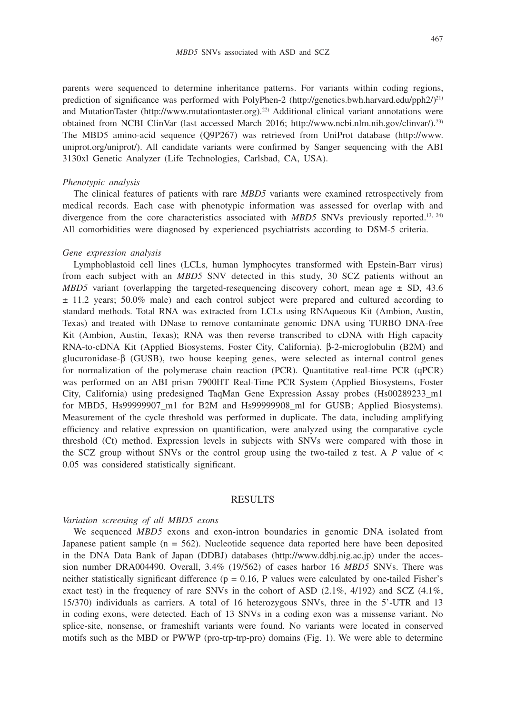parents were sequenced to determine inheritance patterns. For variants within coding regions, prediction of significance was performed with PolyPhen-2 (http://genetics.bwh.harvard.edu/pph $2/2^{11}$ ) and MutationTaster (http://www.mutationtaster.org).22) Additional clinical variant annotations were obtained from NCBI ClinVar (last accessed March 2016; http://www.ncbi.nlm.nih.gov/clinvar/).23) The MBD5 amino-acid sequence (Q9P267) was retrieved from UniProt database (http://www. uniprot.org/uniprot/). All candidate variants were confirmed by Sanger sequencing with the ABI 3130xl Genetic Analyzer (Life Technologies, Carlsbad, CA, USA).

#### *Phenotypic analysis*

The clinical features of patients with rare *MBD5* variants were examined retrospectively from medical records. Each case with phenotypic information was assessed for overlap with and divergence from the core characteristics associated with *MBD5* SNVs previously reported.<sup>13, 24)</sup> All comorbidities were diagnosed by experienced psychiatrists according to DSM-5 criteria.

## *Gene expression analysis*

Lymphoblastoid cell lines (LCLs, human lymphocytes transformed with Epstein-Barr virus) from each subject with an *MBD5* SNV detected in this study, 30 SCZ patients without an *MBD5* variant (overlapping the targeted-resequencing discovery cohort, mean age  $\pm$  SD, 43.6  $\pm$  11.2 years; 50.0% male) and each control subject were prepared and cultured according to standard methods. Total RNA was extracted from LCLs using RNAqueous Kit (Ambion, Austin, Texas) and treated with DNase to remove contaminate genomic DNA using TURBO DNA-free Kit (Ambion, Austin, Texas); RNA was then reverse transcribed to cDNA with High capacity RNA-to-cDNA Kit (Applied Biosystems, Foster City, California).  $\beta$ -2-microglobulin (B2M) and glucuronidase- $\beta$  (GUSB), two house keeping genes, were selected as internal control genes for normalization of the polymerase chain reaction (PCR). Quantitative real-time PCR (qPCR) was performed on an ABI prism 7900HT Real-Time PCR System (Applied Biosystems, Foster City, California) using predesigned TaqMan Gene Expression Assay probes (Hs00289233\_m1 for MBD5, Hs99999907\_m1 for B2M and Hs99999908\_ml for GUSB; Applied Biosystems). Measurement of the cycle threshold was performed in duplicate. The data, including amplifying efficiency and relative expression on quantification, were analyzed using the comparative cycle threshold (Ct) method. Expression levels in subjects with SNVs were compared with those in the SCZ group without SNVs or the control group using the two-tailed z test. A  *value of*  $\lt$ 0.05 was considered statistically significant.

#### RESULTS

#### *Variation screening of all MBD5 exons*

We sequenced *MBD5* exons and exon-intron boundaries in genomic DNA isolated from Japanese patient sample ( $n = 562$ ). Nucleotide sequence data reported here have been deposited in the DNA Data Bank of Japan (DDBJ) databases (http://www.ddbj.nig.ac.jp) under the accession number DRA004490. Overall, 3.4% (19/562) of cases harbor 16 *MBD5* SNVs. There was neither statistically significant difference ( $p = 0.16$ , P values were calculated by one-tailed Fisher's exact test) in the frequency of rare SNVs in the cohort of ASD  $(2.1\%, 4/192)$  and SCZ  $(4.1\%,$ 15/370) individuals as carriers. A total of 16 heterozygous SNVs, three in the 5'-UTR and 13 in coding exons, were detected. Each of 13 SNVs in a coding exon was a missense variant. No splice-site, nonsense, or frameshift variants were found. No variants were located in conserved motifs such as the MBD or PWWP (pro-trp-trp-pro) domains (Fig. 1). We were able to determine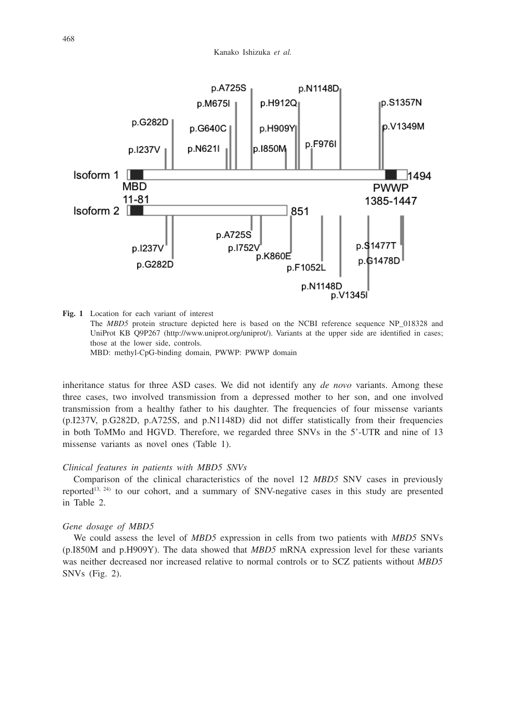

**Fig. 1** Location for each variant of interest

 The *MBD5* protein structure depicted here is based on the NCBI reference sequence NP\_018328 and UniProt KB Q9P267 (http://www.uniprot.org/uniprot/). Variants at the upper side are identified in cases; those at the lower side, controls.

MBD: methyl-CpG-binding domain, PWWP: PWWP domain

inheritance status for three ASD cases. We did not identify any *de novo* variants. Among these three cases, two involved transmission from a depressed mother to her son, and one involved transmission from a healthy father to his daughter. The frequencies of four missense variants (p.I237V, p.G282D, p.A725S, and p.N1148D) did not differ statistically from their frequencies in both ToMMo and HGVD. Therefore, we regarded three SNVs in the 5'-UTR and nine of 13 missense variants as novel ones (Table 1).

## *Clinical features in patients with MBD5 SNVs*

Comparison of the clinical characteristics of the novel 12 *MBD5* SNV cases in previously reported<sup>13, 24)</sup> to our cohort, and a summary of SNV-negative cases in this study are presented in Table 2.

### *Gene dosage of MBD5*

We could assess the level of *MBD5* expression in cells from two patients with *MBD5* SNVs (p.I850M and p.H909Y). The data showed that *MBD5* mRNA expression level for these variants was neither decreased nor increased relative to normal controls or to SCZ patients without *MBD5* SNVs (Fig. 2).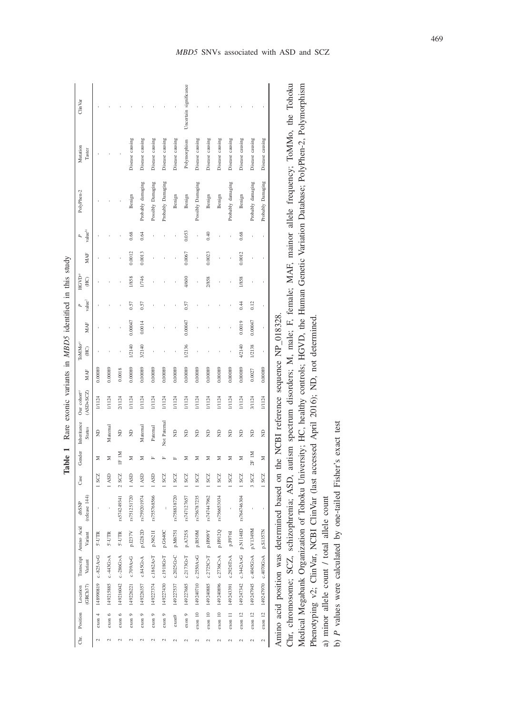|                                                       | ClinVar                                  |                                          |                           |                               |                     |                   |                              |                               |                                                  | Uncertain significance |                                |                      |                      |                                            |                                                                                                                                                                                     |                                                                    |                                                |                                                    |
|-------------------------------------------------------|------------------------------------------|------------------------------------------|---------------------------|-------------------------------|---------------------|-------------------|------------------------------|-------------------------------|--------------------------------------------------|------------------------|--------------------------------|----------------------|----------------------|--------------------------------------------|-------------------------------------------------------------------------------------------------------------------------------------------------------------------------------------|--------------------------------------------------------------------|------------------------------------------------|----------------------------------------------------|
|                                                       |                                          |                                          |                           |                               |                     |                   |                              |                               |                                                  |                        |                                |                      |                      |                                            |                                                                                                                                                                                     |                                                                    |                                                |                                                    |
|                                                       | Mutation<br>Taster                       |                                          |                           |                               | Disease causing     | Disease causing   | Disease causing              | Disease causing               | Disease causing                                  | Polymorphism           | Disease causing                | Disease causing      | Disease causing      | Disease causing                            | Disease causing                                                                                                                                                                     | Disease causing                                                    | Disease causing                                |                                                    |
|                                                       | PolyPhen-2                               |                                          |                           |                               | Benign              | Probably damaging | Possibly Damaging            | Probably Damaging             | Benign                                           | Benign                 | Possibly Damaging              | Benign               | Benign               | Probably damaging                          | Benign                                                                                                                                                                              | Probably damaging                                                  | Probably Damaging                              |                                                    |
|                                                       | valueb                                   |                                          |                           |                               | 0.68                | 0.64              |                              |                               |                                                  | 0.053                  |                                | 0.40                 |                      |                                            | 0.68                                                                                                                                                                                |                                                                    |                                                |                                                    |
|                                                       | MAF                                      |                                          |                           |                               | 0.0012              | 0.0013            |                              |                               |                                                  | 0.0067                 |                                | 0.0023               |                      |                                            | 0.0012                                                                                                                                                                              |                                                                    |                                                |                                                    |
|                                                       | HGVD <sup>a</sup><br>$\widetilde{H}$     |                                          |                           |                               | 1/858               | 1/746             |                              |                               |                                                  | 4/600                  |                                | 2/858                |                      |                                            | 1/858                                                                                                                                                                               |                                                                    |                                                |                                                    |
|                                                       | value <sup>2</sup>                       |                                          |                           |                               | 0.57                | 0.57              |                              |                               |                                                  | 0.57                   |                                |                      |                      |                                            | 0.44                                                                                                                                                                                | 0.12                                                               |                                                |                                                    |
|                                                       | MAF                                      |                                          |                           |                               | 0.00047             | 0.0014            |                              |                               |                                                  | 0.00047                |                                |                      |                      |                                            | 0.0019                                                                                                                                                                              | 0.00047                                                            |                                                |                                                    |
|                                                       | ToMMo <sup>a)</sup><br>$\overline{H}$ C) |                                          |                           |                               | 1/2140              | 3/2140            |                              |                               |                                                  | 1/2136                 |                                |                      |                      |                                            | 4/2140                                                                                                                                                                              | 1/2138                                                             |                                                |                                                    |
|                                                       |                                          |                                          |                           |                               |                     |                   |                              |                               |                                                  |                        |                                |                      |                      |                                            |                                                                                                                                                                                     |                                                                    |                                                |                                                    |
|                                                       | MAF                                      | 0.00089                                  | 0.00089                   | 0.0018                        | 0.00089             | 0.00089           | 0.00089                      | 0.00089                       | 0.00089                                          | 0.00089                | 0.00089                        | 0.00089              | 0.00089              | 0.00089                                    | 0.00089                                                                                                                                                                             | 0.0027                                                             | 0.00089                                        |                                                    |
|                                                       | Our cohort <sup>a)</sup><br>$(ASD+SCZ)$  | 1/1124                                   | 1/1124                    | 2/1124                        | 1/1124              | 1/1124            | 1/1124                       | 1/1124                        | 1/1124                                           | 1/1124                 | 1/1124                         | 1/1124               | 1/1124               | 1/1124                                     | 1/1124                                                                                                                                                                              | 3/1124                                                             | 1/1124                                         |                                                    |
| Rare exonic variants in MBD5 identified in this study | Inheritance<br>Status                    | $\Xi$                                    | Maternal                  | $\widehat{\Xi}$               | $\Xi$               | Maternal          | Paternal                     |                               | g                                                | g                      | g                              | ę                    | ę                    | g                                          | g                                                                                                                                                                                   | g                                                                  | ę                                              |                                                    |
|                                                       | Gender                                   | Σ                                        | Σ                         | IF IM                         | Σ                   | Σ                 | Ĺ.                           | Not Paternal<br>Щ             | Ĺ.                                               | Σ                      | Σ                              | Σ                    | Σ                    | Σ                                          | Σ                                                                                                                                                                                   | 2F 1M                                                              | Σ                                              |                                                    |
| Table:                                                | Case                                     | SCZ                                      | 1 ASD                     | $2$ SCZ                       | 1 ASD               | 1 ASD             | 1 ASD                        | SCZ                           | $1$ SCZ                                          | 1 SCZ                  | $1$ SCZ                        | $1$ SCZ              | SCZ                  | SCZ                                        | $1$ SCZ                                                                                                                                                                             | 3SCZ                                                               | $1$ SCZ                                        |                                                    |
|                                                       | (release 144)<br>dbSNP                   |                                          |                           | rs574249341                   | rs751251720         | rs759201974       | rs755768566                  |                               | rs758838720                                      | rs747127657            | rs756787235                    | rs747447962          | rs756653034          |                                            | rs764746304                                                                                                                                                                         |                                                                    |                                                | ned based on the NCBI reference sequence NP 018328 |
|                                                       | Variant                                  | 5'-UTR                                   | 5'-UTR                    | 5'-UTR                        | p.1237V             | p.G282D           | p.N621I                      | p.G640C                       |                                                  | p.A725S                | p.I850M                        | Y606H'd              | p.H912Q              | p.F976I                                    |                                                                                                                                                                                     |                                                                    |                                                |                                                    |
|                                                       | Transcript Amino Acid<br>Variant         |                                          |                           |                               | c.709A>G            | c.845G>A          | c.1862A > T                  |                               |                                                  |                        |                                | c.2725C > T          |                      |                                            |                                                                                                                                                                                     |                                                                    | p.S1357N                                       |                                                    |
|                                                       | GRCh37)                                  |                                          |                           |                               |                     | 149226357         |                              |                               |                                                  | c.2173G>T              |                                |                      | $c.2736C$ A          |                                            |                                                                                                                                                                                     |                                                                    |                                                |                                                    |
|                                                       | Position Location                        | 148990819 c.-825A>G<br>exon <sub>4</sub> | exon 6 149215885 c.443G>A | 149216042 c.-286G>A<br>exon 6 | 149226221<br>exon 9 | $\circ$<br>exon   | 149227374<br>$\circ$<br>exon | 149227430 c.1918G>T<br>exon 9 | 149227537 c.2025G>C p.M675I<br>exon <sub>9</sub> | 149227685<br>exon 9    | 149240710 c.2550A>G<br>exon 10 | 149240885<br>exon 10 | 149240896<br>exon 10 | A <t0202, 108642041<br="">exon 11</t0202,> | USFILN'd D <v<br></v<br> 2HC<br>2HC<br>2HC<br>2HC<br>2HC<br>2HC<br>2HC<br>2HC<br>2HC<br>2HC<br>2HC<br>2HC<br>2HC<br>2HC<br>2HC<br>2HC<br>2HC<br>2HC<br>2HC<br>2HC<br>2HC<br>exon 12 | N6+ELA'd V <dsp0+'0 st6l+z6+1<br=""><math>exon</math> 12</dsp0+'0> | A <d0700-0.4070g>A<br/>exon 12</d0700-0.4070g> | Amino acid position was determined                 |

Chr, chromosome; SCZ, schizophrenia; ASD, autism spectrum disorders; M, male; F, female; MAF, mainor allele frequency; ToMMo, the Tohoku Medical Megabank Organization of Tohoku University; HC, healthy controls; HGVD, the Human Genetic Variation Database; PolyPhen-2, Polymorphism Chr, chromosome; SCZ, schizophrenia; ASD, autism spectrum disorders; M, male; F, female; MAF, mainor allele frequency; ToMMo, the Tohoku Medical Megabank Organization of Tohoku University; HC, healthy controls; HGVD, the Human Genetic Variation Database; PolyPhen-2, Polymorphism Phenotyping v2; ClinVar, NCBI ClinVar (last accessed April 2016); ND, not determined. Phenotyping v2; ClinVar, NCBI ClinVar (last accessed April 2016); ND, not determined.

a) minor allele count / total allele count a) minor allele count / total allele count b) P values were calculated by one-tailed Fisher's exact test b) *P* values were calculated by one-tailed Fisher's exact test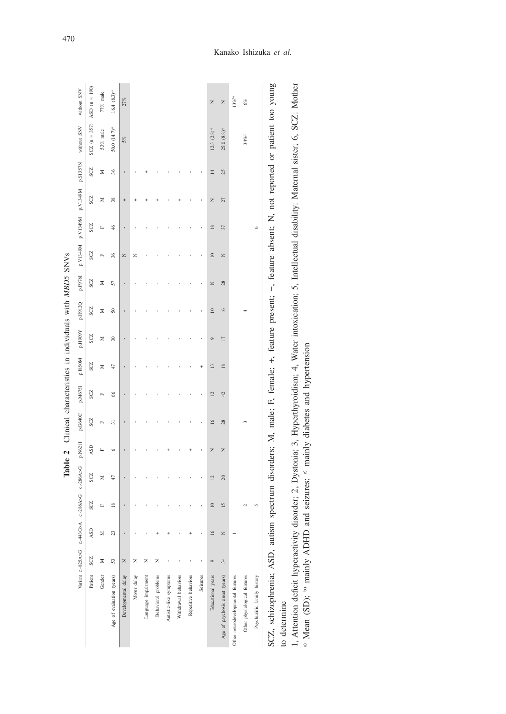|                                   |         |                           |                    | manus #        |         |         | control community in the control control control control in the control of the control of the control of the control of the control of the control of the control of the control of the control of the control of the control |               |                    |                 |         |           |               |                            |                 |                                                                                                                     |                  |
|-----------------------------------|---------|---------------------------|--------------------|----------------|---------|---------|-------------------------------------------------------------------------------------------------------------------------------------------------------------------------------------------------------------------------------|---------------|--------------------|-----------------|---------|-----------|---------------|----------------------------|-----------------|---------------------------------------------------------------------------------------------------------------------|------------------|
|                                   |         | Variant c-825A>G c-443G>A | c-286A>G c.-286A>G |                | p.N621I | p.G640C | p.M675I                                                                                                                                                                                                                       | p.I850M       | Y606H <sup>d</sup> | p.H912Q         | p.F976I |           |               | N6FELN'd N6FELN'd N6FELN'd | p.S1357N        | without SNV                                                                                                         | without SNV      |
| Patient                           | SCZ     | ASD                       | SCZ                | SCZ            | ASD     | SCZ     | SCZ                                                                                                                                                                                                                           | SCZ           | SCZ                | SCZ             | SCZ     | SCZ       | SCZ           | SCZ                        | SCZ             | $SCZ$ (n = 357)                                                                                                     | $ASD (n = 190)$  |
| Gender                            | Σ       | Σ                         | $\mathbf{r}$       | Σ              | Ľ,      | Ľ,      | Ľ,                                                                                                                                                                                                                            | Σ             | Σ                  | Σ               | Σ       | Ľ,        | Ľ,            | Σ                          | Σ               | 53% male                                                                                                            | 77% male         |
| Age of evaluation (years)         | 53      | 23                        | $\approx$          | 47             | $\circ$ | 57      | 8                                                                                                                                                                                                                             | 47            | $\approx$          | $\overline{50}$ | 57      | X         | 46            | 38                         | 36              | $50.0 (14.7)^{a}$                                                                                                   | $16.4 (8.3)^{a}$ |
| Developmental delay               | Z       |                           |                    |                |         |         |                                                                                                                                                                                                                               |               |                    |                 |         | Z         |               | $^{+}$                     |                 | 5%                                                                                                                  | 27%              |
| Moter delay                       | z       |                           |                    |                |         |         |                                                                                                                                                                                                                               |               |                    |                 |         | z         |               |                            |                 |                                                                                                                     |                  |
| Language impairment               | z       |                           |                    |                |         |         |                                                                                                                                                                                                                               |               |                    |                 |         |           |               |                            |                 |                                                                                                                     |                  |
| Behavioral problems               | z       |                           |                    |                |         |         |                                                                                                                                                                                                                               |               |                    |                 |         |           |               |                            |                 |                                                                                                                     |                  |
| Autistic-like symptoms            |         |                           |                    |                |         |         |                                                                                                                                                                                                                               |               |                    |                 |         |           |               |                            |                 |                                                                                                                     |                  |
| Withdrawal behaviors              |         |                           |                    |                |         |         |                                                                                                                                                                                                                               |               |                    |                 |         |           |               |                            |                 |                                                                                                                     |                  |
| Repetitive behaviors              |         |                           |                    |                |         |         |                                                                                                                                                                                                                               |               |                    |                 |         |           |               |                            |                 |                                                                                                                     |                  |
| Seizures                          |         |                           |                    |                |         |         |                                                                                                                                                                                                                               |               |                    |                 |         |           |               |                            |                 |                                                                                                                     |                  |
| Educational years                 | $\circ$ | $\overline{16}$           | $\approx$          | $\overline{2}$ | Z       | $\geq$  | 12                                                                                                                                                                                                                            | $\frac{3}{2}$ | $\circ$            | $\approx$       | Z       | $\approx$ | $\frac{8}{2}$ | Z                          | $\overline{14}$ | $12.3 (2.8)^{a}$                                                                                                    | Z                |
| Age of psychosis onset (years)    | 34      | Z                         | 15                 | 20             | Z       | 28      | 42                                                                                                                                                                                                                            | $\frac{8}{2}$ | $\overline{11}$    | $\geq$          | 28      | Z         | 37            | 27                         | 25              | $25.0(8.8)^{a}$                                                                                                     | Z                |
| Other neurodevelopmental features |         |                           |                    |                |         |         |                                                                                                                                                                                                                               |               |                    |                 |         |           |               |                            |                 |                                                                                                                     | 13%b)            |
| Other physiological features      |         |                           |                    |                |         |         |                                                                                                                                                                                                                               |               |                    |                 |         |           |               |                            |                 | 34%                                                                                                                 | 6%               |
| Psychiatiric family history       |         |                           | n                  |                |         |         |                                                                                                                                                                                                                               |               |                    |                 |         |           | $\circ$       |                            |                 |                                                                                                                     |                  |
| SCZ, schizophrenia; ASD, autism   |         |                           |                    |                |         |         |                                                                                                                                                                                                                               |               |                    |                 |         |           |               |                            |                 | spectrum disorders; M, male; F, female; +, feature present; -, feature absent; N, not reported or patient too young |                  |
| to determine                      |         |                           |                    |                |         |         |                                                                                                                                                                                                                               |               |                    |                 |         |           |               |                            |                 |                                                                                                                     |                  |

Table 2 Clinical characteristics in individuals with MBD5 SNVs **Table 2** Clinical characteristics in individuals with *MBD5* SNVs

1, Attention deficit hyperactivity disorder; 2, Dystonia; 3, Hyperthyroidism; 4, Water intoxication; 5, Intellectual disability: Maternal sister; 6, SCZ: Mother a) Mean (SD); <sup>b)</sup> mainly ADHD and seizures; <sup>c)</sup> mainly diab 1, Attention deficit hyperactivity disorder; 2, Dystonia; 3, Hyperthyroidism; 4, Water intoxication; 5, Intellectual disability: Maternal sister; 6, SCZ: Mother

a) Mean (SD); b) mainly ADHD and seizures; c) mainly diabetes and hypertension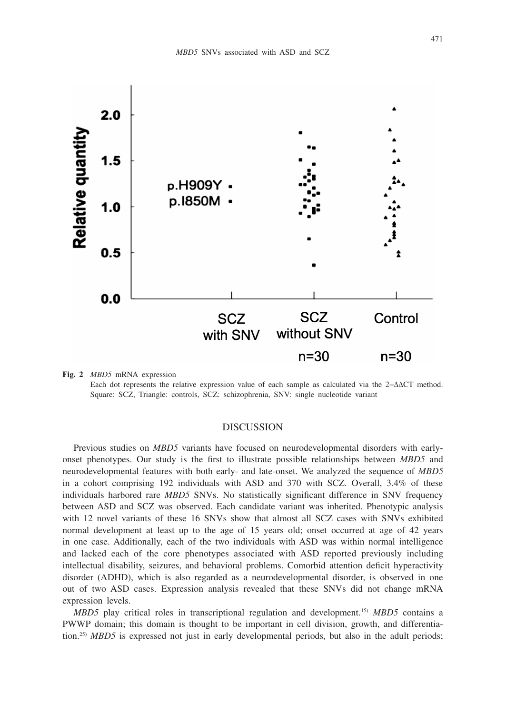

**Fig. 2** *MBD5* mRNA expression Each dot represents the relative expression value of each sample as calculated via the 2−ΔΔCT method. Square: SCZ, Triangle: controls, SCZ: schizophrenia, SNV: single nucleotide variant

## **DISCUSSION**

Previous studies on *MBD5* variants have focused on neurodevelopmental disorders with earlyonset phenotypes. Our study is the first to illustrate possible relationships between *MBD5* and neurodevelopmental features with both early- and late-onset. We analyzed the sequence of *MBD5* in a cohort comprising 192 individuals with ASD and 370 with SCZ. Overall, 3.4% of these individuals harbored rare *MBD5* SNVs. No statistically significant difference in SNV frequency between ASD and SCZ was observed. Each candidate variant was inherited. Phenotypic analysis with 12 novel variants of these 16 SNVs show that almost all SCZ cases with SNVs exhibited normal development at least up to the age of 15 years old; onset occurred at age of 42 years in one case. Additionally, each of the two individuals with ASD was within normal intelligence and lacked each of the core phenotypes associated with ASD reported previously including intellectual disability, seizures, and behavioral problems. Comorbid attention deficit hyperactivity disorder (ADHD), which is also regarded as a neurodevelopmental disorder, is observed in one out of two ASD cases. Expression analysis revealed that these SNVs did not change mRNA expression levels.

*MBD5* play critical roles in transcriptional regulation and development.15) *MBD5* contains a PWWP domain; this domain is thought to be important in cell division, growth, and differentiation.<sup>25)</sup> *MBD5* is expressed not just in early developmental periods, but also in the adult periods;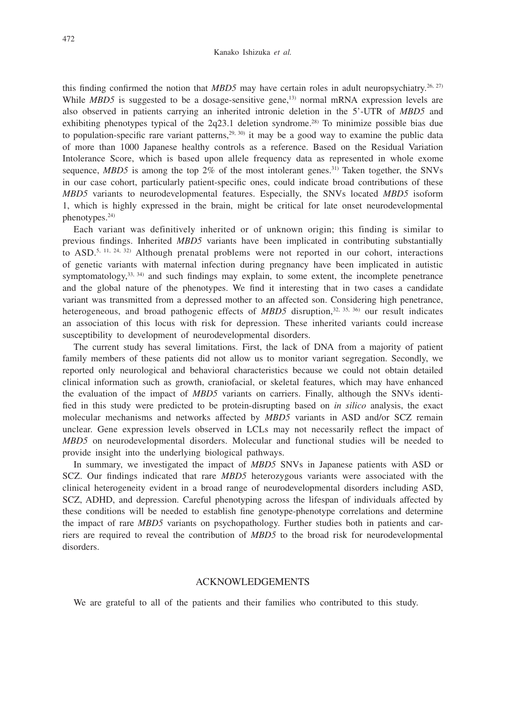this finding confirmed the notion that *MBD5* may have certain roles in adult neuropsychiatry.<sup>26, 27)</sup> While *MBD5* is suggested to be a dosage-sensitive gene,<sup>13)</sup> normal mRNA expression levels are also observed in patients carrying an inherited intronic deletion in the 5'-UTR of *MBD5* and exhibiting phenotypes typical of the  $2q23.1$  deletion syndrome.<sup>28)</sup> To minimize possible bias due to population-specific rare variant patterns,  $29, 30$  it may be a good way to examine the public data of more than 1000 Japanese healthy controls as a reference. Based on the Residual Variation Intolerance Score, which is based upon allele frequency data as represented in whole exome sequence,  $MBD5$  is among the top  $2\%$  of the most intolerant genes.<sup>31)</sup> Taken together, the SNVs in our case cohort, particularly patient-specific ones, could indicate broad contributions of these *MBD5* variants to neurodevelopmental features. Especially, the SNVs located *MBD5* isoform 1, which is highly expressed in the brain, might be critical for late onset neurodevelopmental phenotypes.24)

Each variant was definitively inherited or of unknown origin; this finding is similar to previous findings. Inherited *MBD5* variants have been implicated in contributing substantially to ASD.<sup>5, 11, 24, 32)</sup> Although prenatal problems were not reported in our cohort, interactions of genetic variants with maternal infection during pregnancy have been implicated in autistic symptomatology,  $33, 34$ ) and such findings may explain, to some extent, the incomplete penetrance and the global nature of the phenotypes. We find it interesting that in two cases a candidate variant was transmitted from a depressed mother to an affected son. Considering high penetrance, heterogeneous, and broad pathogenic effects of *MBD5* disruption,<sup>32, 35, 36)</sup> our result indicates an association of this locus with risk for depression. These inherited variants could increase susceptibility to development of neurodevelopmental disorders.

The current study has several limitations. First, the lack of DNA from a majority of patient family members of these patients did not allow us to monitor variant segregation. Secondly, we reported only neurological and behavioral characteristics because we could not obtain detailed clinical information such as growth, craniofacial, or skeletal features, which may have enhanced the evaluation of the impact of *MBD5* variants on carriers. Finally, although the SNVs identified in this study were predicted to be protein-disrupting based on *in silico* analysis, the exact molecular mechanisms and networks affected by *MBD5* variants in ASD and/or SCZ remain unclear. Gene expression levels observed in LCLs may not necessarily reflect the impact of *MBD5* on neurodevelopmental disorders. Molecular and functional studies will be needed to provide insight into the underlying biological pathways.

In summary, we investigated the impact of *MBD5* SNVs in Japanese patients with ASD or SCZ. Our findings indicated that rare *MBD5* heterozygous variants were associated with the clinical heterogeneity evident in a broad range of neurodevelopmental disorders including ASD, SCZ, ADHD, and depression. Careful phenotyping across the lifespan of individuals affected by these conditions will be needed to establish fine genotype-phenotype correlations and determine the impact of rare *MBD5* variants on psychopathology. Further studies both in patients and carriers are required to reveal the contribution of *MBD5* to the broad risk for neurodevelopmental disorders.

#### ACKNOWLEDGEMENTS

We are grateful to all of the patients and their families who contributed to this study.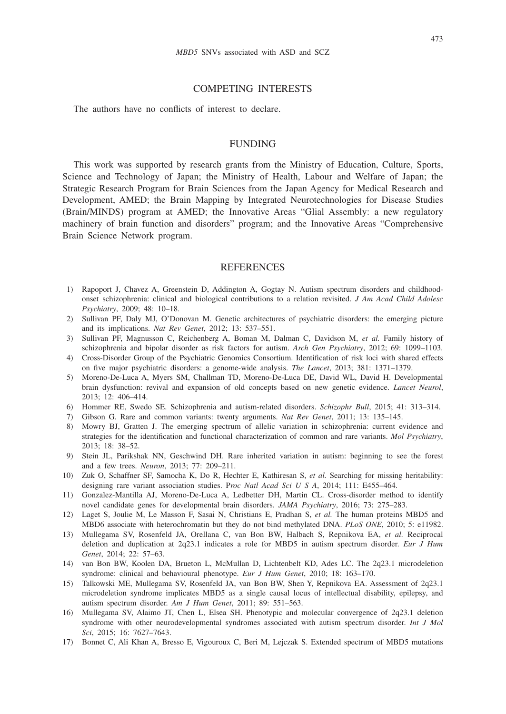## COMPETING INTERESTS

The authors have no conflicts of interest to declare.

## FUNDING

This work was supported by research grants from the Ministry of Education, Culture, Sports, Science and Technology of Japan; the Ministry of Health, Labour and Welfare of Japan; the Strategic Research Program for Brain Sciences from the Japan Agency for Medical Research and Development, AMED; the Brain Mapping by Integrated Neurotechnologies for Disease Studies (Brain/MINDS) program at AMED; the Innovative Areas "Glial Assembly: a new regulatory machinery of brain function and disorders" program; and the Innovative Areas "Comprehensive Brain Science Network program.

## **REFERENCES**

- 1) Rapoport J, Chavez A, Greenstein D, Addington A, Gogtay N. Autism spectrum disorders and childhoodonset schizophrenia: clinical and biological contributions to a relation revisited. *J Am Acad Child Adolesc Psychiatry*, 2009; 48: 10–18.
- 2) Sullivan PF, Daly MJ, O'Donovan M. Genetic architectures of psychiatric disorders: the emerging picture and its implications. *Nat Rev Genet*, 2012; 13: 537–551.
- 3) Sullivan PF, Magnusson C, Reichenberg A, Boman M, Dalman C, Davidson M, *et al.* Family history of schizophrenia and bipolar disorder as risk factors for autism. *Arch Gen Psychiatry*, 2012; 69: 1099–1103.
- 4) Cross-Disorder Group of the Psychiatric Genomics Consortium. Identification of risk loci with shared effects on five major psychiatric disorders: a genome-wide analysis. *The Lancet*, 2013; 381: 1371–1379.
- 5) Moreno-De-Luca A, Myers SM, Challman TD, Moreno-De-Luca DE, David WL, David H. Developmental brain dysfunction: revival and expansion of old concepts based on new genetic evidence. *Lancet Neurol*, 2013; 12: 406–414.
- 6) Hommer RE, Swedo SE. Schizophrenia and autism-related disorders. *Schizophr Bull*, 2015; 41: 313–314.
- 7) Gibson G. Rare and common variants: twenty arguments. *Nat Rev Genet*, 2011; 13: 135–145.
- 8) Mowry BJ, Gratten J. The emerging spectrum of allelic variation in schizophrenia: current evidence and strategies for the identification and functional characterization of common and rare variants. *Mol Psychiatry*, 2013; 18: 38–52.
- 9) Stein JL, Parikshak NN, Geschwind DH. Rare inherited variation in autism: beginning to see the forest and a few trees. *Neuron*, 2013; 77: 209–211.
- 10) Zuk O, Schaffner SF, Samocha K, Do R, Hechter E, Kathiresan S, *et al.* Searching for missing heritability: designing rare variant association studies. P*roc Natl Acad Sci U S A*, 2014; 111: E455–464.
- 11) Gonzalez-Mantilla AJ, Moreno-De-Luca A, Ledbetter DH, Martin CL. Cross-disorder method to identify novel candidate genes for developmental brain disorders. *JAMA Psychiatry*, 2016; 73: 275–283.
- 12) Laget S, Joulie M, Le Masson F, Sasai N, Christians E, Pradhan S, *et al.* The human proteins MBD5 and MBD6 associate with heterochromatin but they do not bind methylated DNA. *PLoS ONE*, 2010; 5: e11982.
- 13) Mullegama SV, Rosenfeld JA, Orellana C, van Bon BW, Halbach S, Repnikova EA, *et al.* Reciprocal deletion and duplication at 2q23.1 indicates a role for MBD5 in autism spectrum disorder. *Eur J Hum Genet*, 2014; 22: 57–63.
- 14) van Bon BW, Koolen DA, Brueton L, McMullan D, Lichtenbelt KD, Ades LC. The 2q23.1 microdeletion syndrome: clinical and behavioural phenotype. *Eur J Hum Genet*, 2010; 18: 163–170.
- 15) Talkowski ME, Mullegama SV, Rosenfeld JA, van Bon BW, Shen Y, Repnikova EA. Assessment of 2q23.1 microdeletion syndrome implicates MBD5 as a single causal locus of intellectual disability, epilepsy, and autism spectrum disorder. *Am J Hum Genet*, 2011; 89: 551–563.
- 16) Mullegama SV, Alaimo JT, Chen L, Elsea SH. Phenotypic and molecular convergence of 2q23.1 deletion syndrome with other neurodevelopmental syndromes associated with autism spectrum disorder. *Int J Mol Sci*, 2015; 16: 7627–7643.
- 17) Bonnet C, Ali Khan A, Bresso E, Vigouroux C, Beri M, Lejczak S. Extended spectrum of MBD5 mutations